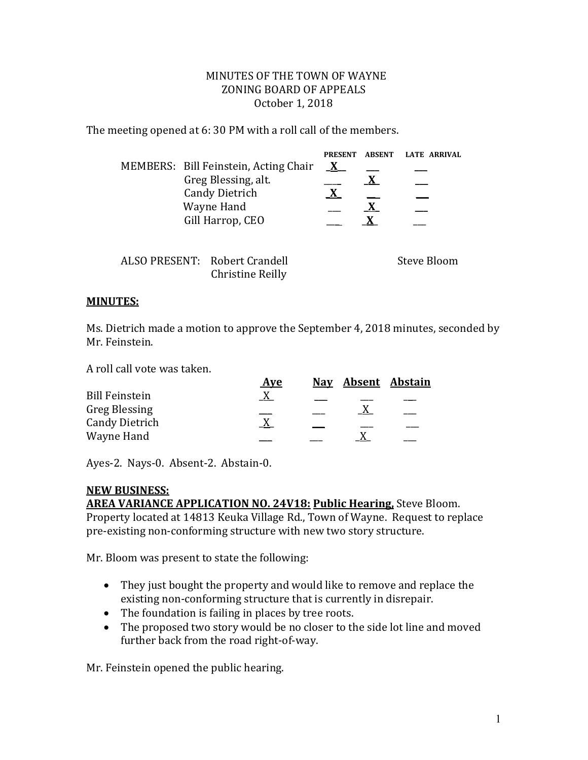## MINUTES OF THE TOWN OF WAYNE ZONING BOARD OF APPEALS October 1, 2018

The meeting opened at 6: 30 PM with a roll call of the members.

|                       |                     |                                       | <b>PRESENT</b> | <b>ABSENT</b> | <b>LATE ARRIVAL</b> |
|-----------------------|---------------------|---------------------------------------|----------------|---------------|---------------------|
|                       |                     | MEMBERS: Bill Feinstein, Acting Chair | $\mathbf{X}$   |               |                     |
|                       | Greg Blessing, alt. |                                       |                | X             |                     |
| <b>Candy Dietrich</b> |                     |                                       | X              |               |                     |
| Wayne Hand            |                     |                                       |                |               |                     |
| Gill Harrop, CEO      |                     |                                       |                |               |                     |
|                       |                     |                                       |                |               |                     |
|                       |                     |                                       |                |               |                     |
|                       |                     | ALSO PRESENT: Robert Crandell         |                |               | Steve Bloom         |
|                       |                     | Christine Reilly                      |                |               |                     |

## **MINUTES:**

Ms. Dietrich made a motion to approve the September 4, 2018 minutes, seconded by Mr. Feinstein.

A roll call vote was taken.

| <b>Aye</b> |  |                    |
|------------|--|--------------------|
|            |  |                    |
|            |  |                    |
|            |  |                    |
|            |  |                    |
|            |  | Nav Absent Abstain |

Ayes-2. Nays-0. Absent-2. Abstain-0.

## **NEW BUSINESS: AREA VARIANCE APPLICATION NO. 24V18: Public Hearing,** Steve Bloom.

Property located at 14813 Keuka Village Rd., Town of Wayne. Request to replace pre-existing non-conforming structure with new two story structure.

Mr. Bloom was present to state the following:

- They just bought the property and would like to remove and replace the existing non-conforming structure that is currently in disrepair.
- The foundation is failing in places by tree roots.
- The proposed two story would be no closer to the side lot line and moved further back from the road right-of-way.

Mr. Feinstein opened the public hearing.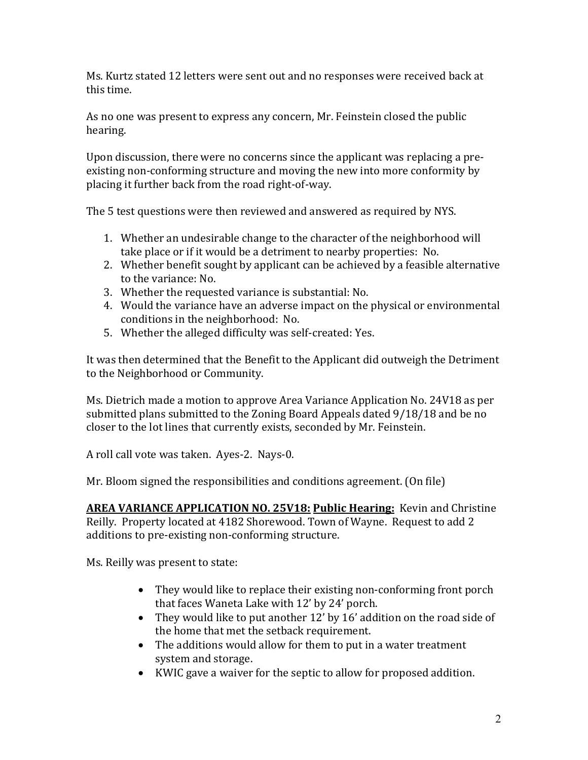Ms. Kurtz stated 12 letters were sent out and no responses were received back at this time.

As no one was present to express any concern, Mr. Feinstein closed the public hearing.

Upon discussion, there were no concerns since the applicant was replacing a preexisting non-conforming structure and moving the new into more conformity by placing it further back from the road right-of-way.

The 5 test questions were then reviewed and answered as required by NYS.

- 1. Whether an undesirable change to the character of the neighborhood will take place or if it would be a detriment to nearby properties: No.
- 2. Whether benefit sought by applicant can be achieved by a feasible alternative to the variance: No.
- 3. Whether the requested variance is substantial: No.
- 4. Would the variance have an adverse impact on the physical or environmental conditions in the neighborhood: No.
- 5. Whether the alleged difficulty was self-created: Yes.

It was then determined that the Benefit to the Applicant did outweigh the Detriment to the Neighborhood or Community.

Ms. Dietrich made a motion to approve Area Variance Application No. 24V18 as per submitted plans submitted to the Zoning Board Appeals dated 9/18/18 and be no closer to the lot lines that currently exists, seconded by Mr. Feinstein.

A roll call vote was taken. Ayes-2. Nays-0.

Mr. Bloom signed the responsibilities and conditions agreement. (On file)

**AREA VARIANCE APPLICATION NO. 25V18: Public Hearing:** Kevin and Christine Reilly. Property located at 4182 Shorewood. Town of Wayne. Request to add 2 additions to pre-existing non-conforming structure.

Ms. Reilly was present to state:

- They would like to replace their existing non-conforming front porch that faces Waneta Lake with 12' by 24' porch.
- They would like to put another 12' by 16' addition on the road side of the home that met the setback requirement.
- The additions would allow for them to put in a water treatment system and storage.
- KWIC gave a waiver for the septic to allow for proposed addition.